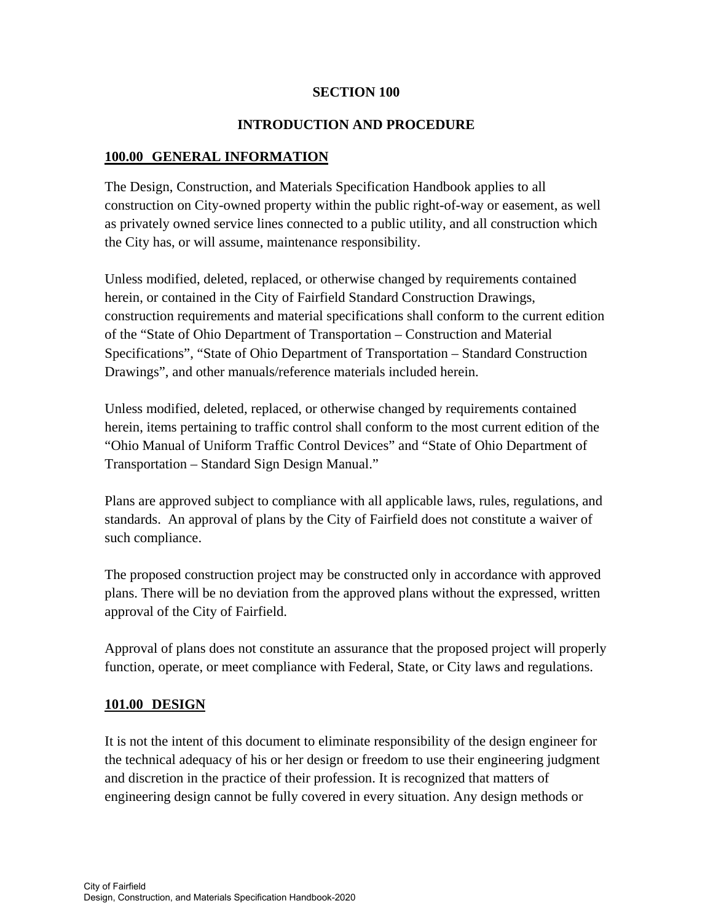#### **SECTION 100**

# **INTRODUCTION AND PROCEDURE**

# **100.00 GENERAL INFORMATION**

The Design, Construction, and Materials Specification Handbook applies to all construction on City-owned property within the public right-of-way or easement, as well as privately owned service lines connected to a public utility, and all construction which the City has, or will assume, maintenance responsibility.

Unless modified, deleted, replaced, or otherwise changed by requirements contained herein, or contained in the City of Fairfield Standard Construction Drawings, construction requirements and material specifications shall conform to the current edition of the "State of Ohio Department of Transportation – Construction and Material Specifications", "State of Ohio Department of Transportation – Standard Construction Drawings", and other manuals/reference materials included herein.

Unless modified, deleted, replaced, or otherwise changed by requirements contained herein, items pertaining to traffic control shall conform to the most current edition of the "Ohio Manual of Uniform Traffic Control Devices" and "State of Ohio Department of Transportation – Standard Sign Design Manual."

Plans are approved subject to compliance with all applicable laws, rules, regulations, and standards. An approval of plans by the City of Fairfield does not constitute a waiver of such compliance.

The proposed construction project may be constructed only in accordance with approved plans. There will be no deviation from the approved plans without the expressed, written approval of the City of Fairfield.

Approval of plans does not constitute an assurance that the proposed project will properly function, operate, or meet compliance with Federal, State, or City laws and regulations.

# **101.00 DESIGN**

It is not the intent of this document to eliminate responsibility of the design engineer for the technical adequacy of his or her design or freedom to use their engineering judgment and discretion in the practice of their profession. It is recognized that matters of engineering design cannot be fully covered in every situation. Any design methods or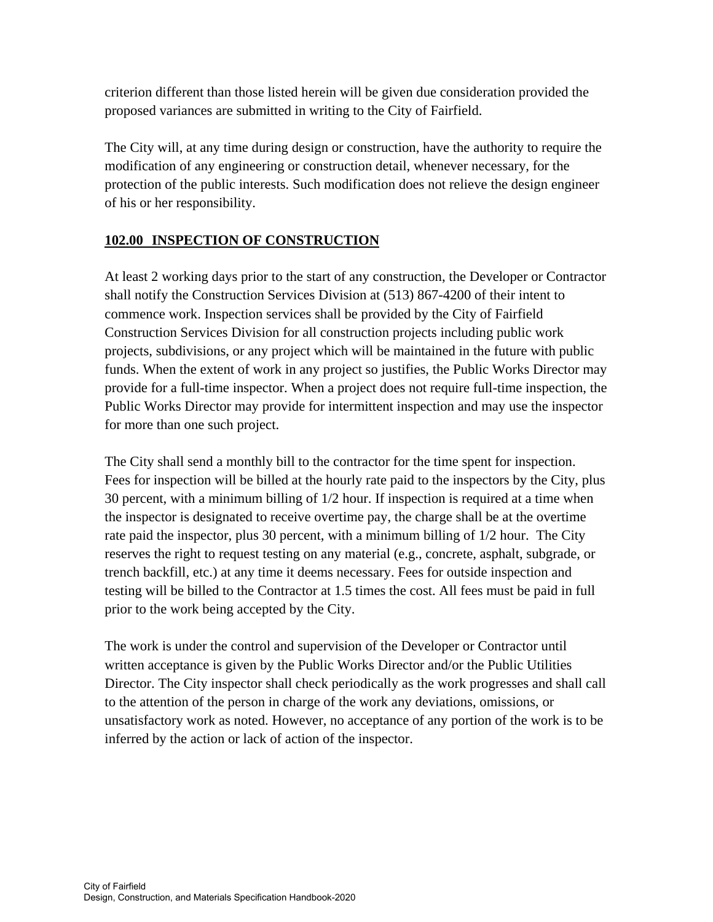criterion different than those listed herein will be given due consideration provided the proposed variances are submitted in writing to the City of Fairfield.

The City will, at any time during design or construction, have the authority to require the modification of any engineering or construction detail, whenever necessary, for the protection of the public interests. Such modification does not relieve the design engineer of his or her responsibility.

# **102.00 INSPECTION OF CONSTRUCTION**

At least 2 working days prior to the start of any construction, the Developer or Contractor shall notify the Construction Services Division at (513) 867-4200 of their intent to commence work. Inspection services shall be provided by the City of Fairfield Construction Services Division for all construction projects including public work projects, subdivisions, or any project which will be maintained in the future with public funds. When the extent of work in any project so justifies, the Public Works Director may provide for a full-time inspector. When a project does not require full-time inspection, the Public Works Director may provide for intermittent inspection and may use the inspector for more than one such project.

The City shall send a monthly bill to the contractor for the time spent for inspection. Fees for inspection will be billed at the hourly rate paid to the inspectors by the City, plus 30 percent, with a minimum billing of 1/2 hour. If inspection is required at a time when the inspector is designated to receive overtime pay, the charge shall be at the overtime rate paid the inspector, plus 30 percent, with a minimum billing of 1/2 hour. The City reserves the right to request testing on any material (e.g., concrete, asphalt, subgrade, or trench backfill, etc.) at any time it deems necessary. Fees for outside inspection and testing will be billed to the Contractor at 1.5 times the cost. All fees must be paid in full prior to the work being accepted by the City.

The work is under the control and supervision of the Developer or Contractor until written acceptance is given by the Public Works Director and/or the Public Utilities Director. The City inspector shall check periodically as the work progresses and shall call to the attention of the person in charge of the work any deviations, omissions, or unsatisfactory work as noted. However, no acceptance of any portion of the work is to be inferred by the action or lack of action of the inspector.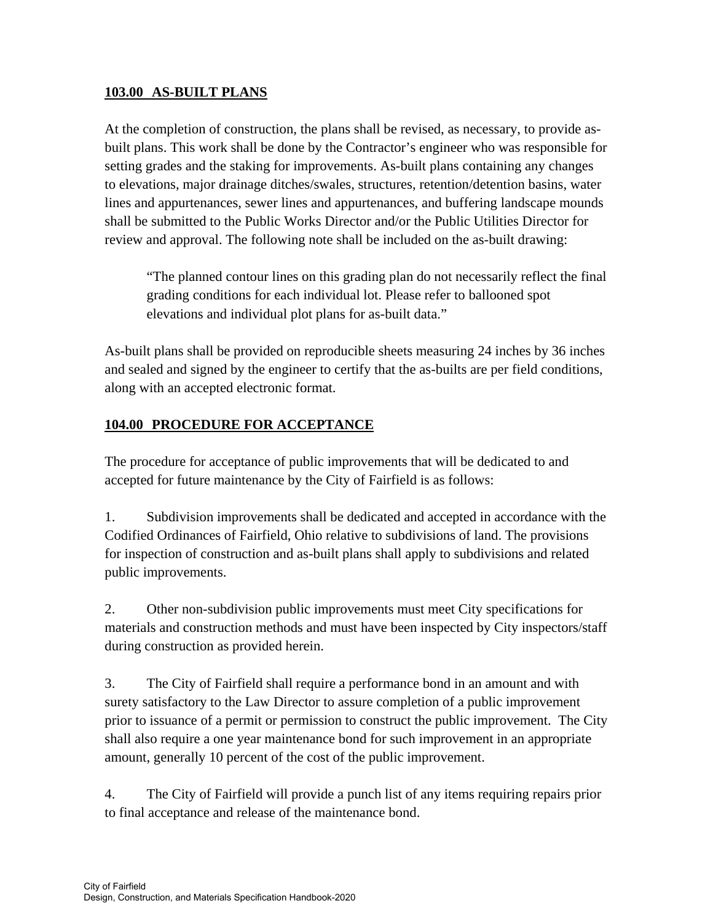# **103.00 AS-BUILT PLANS**

At the completion of construction, the plans shall be revised, as necessary, to provide asbuilt plans. This work shall be done by the Contractor's engineer who was responsible for setting grades and the staking for improvements. As-built plans containing any changes to elevations, major drainage ditches/swales, structures, retention/detention basins, water lines and appurtenances, sewer lines and appurtenances, and buffering landscape mounds shall be submitted to the Public Works Director and/or the Public Utilities Director for review and approval. The following note shall be included on the as-built drawing:

"The planned contour lines on this grading plan do not necessarily reflect the final grading conditions for each individual lot. Please refer to ballooned spot elevations and individual plot plans for as-built data."

As-built plans shall be provided on reproducible sheets measuring 24 inches by 36 inches and sealed and signed by the engineer to certify that the as-builts are per field conditions, along with an accepted electronic format.

# **104.00 PROCEDURE FOR ACCEPTANCE**

The procedure for acceptance of public improvements that will be dedicated to and accepted for future maintenance by the City of Fairfield is as follows:

1. Subdivision improvements shall be dedicated and accepted in accordance with the Codified Ordinances of Fairfield, Ohio relative to subdivisions of land. The provisions for inspection of construction and as-built plans shall apply to subdivisions and related public improvements.

2. Other non-subdivision public improvements must meet City specifications for materials and construction methods and must have been inspected by City inspectors/staff during construction as provided herein.

3. The City of Fairfield shall require a performance bond in an amount and with surety satisfactory to the Law Director to assure completion of a public improvement prior to issuance of a permit or permission to construct the public improvement. The City shall also require a one year maintenance bond for such improvement in an appropriate amount, generally 10 percent of the cost of the public improvement.

4. The City of Fairfield will provide a punch list of any items requiring repairs prior to final acceptance and release of the maintenance bond.